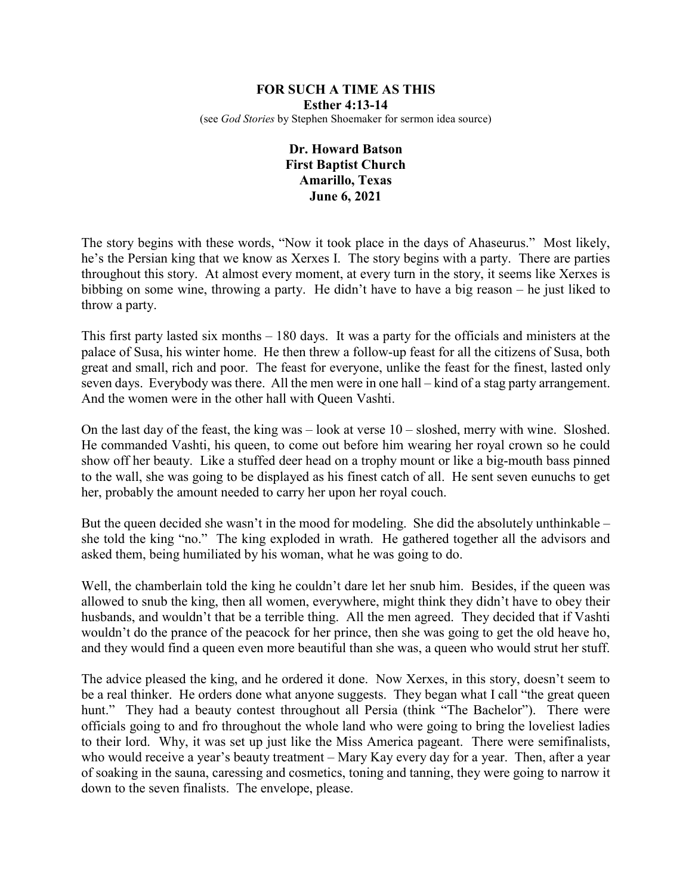## **FOR SUCH A TIME AS THIS Esther 4:13-14** (see *God Stories* by Stephen Shoemaker for sermon idea source)

## **Dr. Howard Batson First Baptist Church Amarillo, Texas June 6, 2021**

The story begins with these words, "Now it took place in the days of Ahaseurus." Most likely, he's the Persian king that we know as Xerxes I. The story begins with a party. There are parties throughout this story. At almost every moment, at every turn in the story, it seems like Xerxes is bibbing on some wine, throwing a party. He didn't have to have a big reason – he just liked to throw a party.

This first party lasted six months – 180 days. It was a party for the officials and ministers at the palace of Susa, his winter home. He then threw a follow-up feast for all the citizens of Susa, both great and small, rich and poor. The feast for everyone, unlike the feast for the finest, lasted only seven days. Everybody was there. All the men were in one hall – kind of a stag party arrangement. And the women were in the other hall with Queen Vashti.

On the last day of the feast, the king was  $-$  look at verse  $10 -$  sloshed, merry with wine. Sloshed. He commanded Vashti, his queen, to come out before him wearing her royal crown so he could show off her beauty. Like a stuffed deer head on a trophy mount or like a big-mouth bass pinned to the wall, she was going to be displayed as his finest catch of all. He sent seven eunuchs to get her, probably the amount needed to carry her upon her royal couch.

But the queen decided she wasn't in the mood for modeling. She did the absolutely unthinkable – she told the king "no." The king exploded in wrath. He gathered together all the advisors and asked them, being humiliated by his woman, what he was going to do.

Well, the chamberlain told the king he couldn't dare let her snub him. Besides, if the queen was allowed to snub the king, then all women, everywhere, might think they didn't have to obey their husbands, and wouldn't that be a terrible thing. All the men agreed. They decided that if Vashti wouldn't do the prance of the peacock for her prince, then she was going to get the old heave ho, and they would find a queen even more beautiful than she was, a queen who would strut her stuff.

The advice pleased the king, and he ordered it done. Now Xerxes, in this story, doesn't seem to be a real thinker. He orders done what anyone suggests. They began what I call "the great queen hunt." They had a beauty contest throughout all Persia (think "The Bachelor"). There were officials going to and fro throughout the whole land who were going to bring the loveliest ladies to their lord. Why, it was set up just like the Miss America pageant. There were semifinalists, who would receive a year's beauty treatment – Mary Kay every day for a year. Then, after a year of soaking in the sauna, caressing and cosmetics, toning and tanning, they were going to narrow it down to the seven finalists. The envelope, please.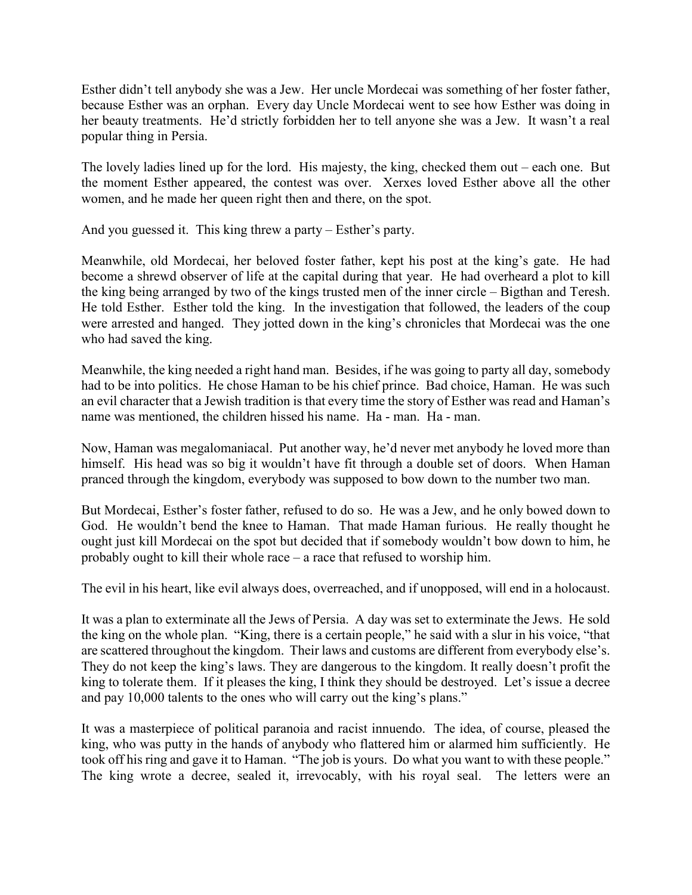Esther didn't tell anybody she was a Jew. Her uncle Mordecai was something of her foster father, because Esther was an orphan. Every day Uncle Mordecai went to see how Esther was doing in her beauty treatments. He'd strictly forbidden her to tell anyone she was a Jew. It wasn't a real popular thing in Persia.

The lovely ladies lined up for the lord. His majesty, the king, checked them out – each one. But the moment Esther appeared, the contest was over. Xerxes loved Esther above all the other women, and he made her queen right then and there, on the spot.

And you guessed it. This king threw a party – Esther's party.

Meanwhile, old Mordecai, her beloved foster father, kept his post at the king's gate. He had become a shrewd observer of life at the capital during that year. He had overheard a plot to kill the king being arranged by two of the kings trusted men of the inner circle – Bigthan and Teresh. He told Esther. Esther told the king. In the investigation that followed, the leaders of the coup were arrested and hanged. They jotted down in the king's chronicles that Mordecai was the one who had saved the king.

Meanwhile, the king needed a right hand man. Besides, if he was going to party all day, somebody had to be into politics. He chose Haman to be his chief prince. Bad choice, Haman. He was such an evil character that a Jewish tradition is that every time the story of Esther was read and Haman's name was mentioned, the children hissed his name. Ha - man. Ha - man.

Now, Haman was megalomaniacal. Put another way, he'd never met anybody he loved more than himself. His head was so big it wouldn't have fit through a double set of doors. When Haman pranced through the kingdom, everybody was supposed to bow down to the number two man.

But Mordecai, Esther's foster father, refused to do so. He was a Jew, and he only bowed down to God. He wouldn't bend the knee to Haman. That made Haman furious. He really thought he ought just kill Mordecai on the spot but decided that if somebody wouldn't bow down to him, he probably ought to kill their whole race – a race that refused to worship him.

The evil in his heart, like evil always does, overreached, and if unopposed, will end in a holocaust.

It was a plan to exterminate all the Jews of Persia. A day was set to exterminate the Jews. He sold the king on the whole plan. "King, there is a certain people," he said with a slur in his voice, "that are scattered throughout the kingdom. Their laws and customs are different from everybody else's. They do not keep the king's laws. They are dangerous to the kingdom. It really doesn't profit the king to tolerate them. If it pleases the king, I think they should be destroyed. Let's issue a decree and pay 10,000 talents to the ones who will carry out the king's plans."

It was a masterpiece of political paranoia and racist innuendo. The idea, of course, pleased the king, who was putty in the hands of anybody who flattered him or alarmed him sufficiently. He took off his ring and gave it to Haman. "The job is yours. Do what you want to with these people." The king wrote a decree, sealed it, irrevocably, with his royal seal. The letters were an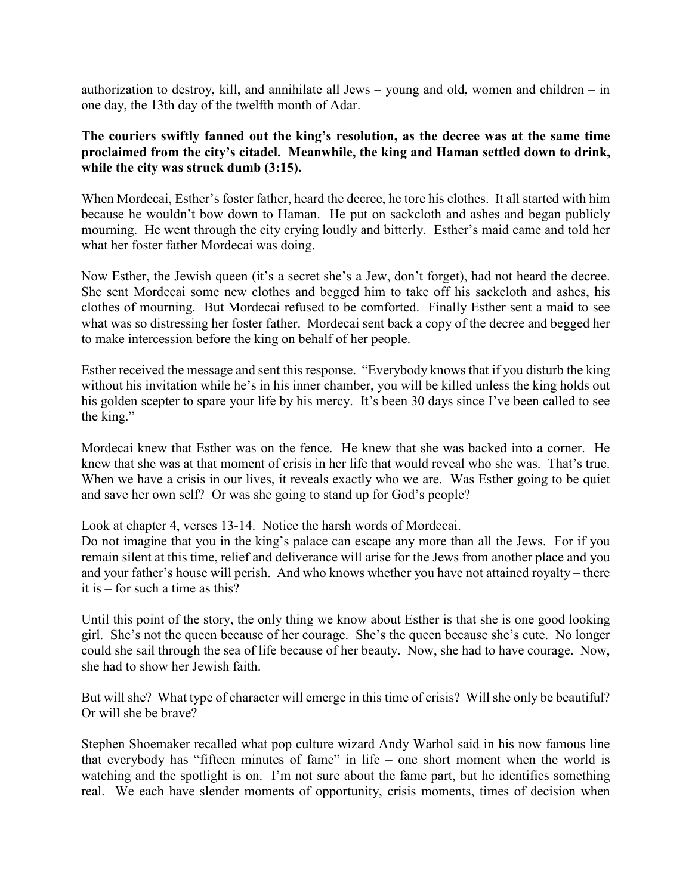authorization to destroy, kill, and annihilate all Jews – young and old, women and children – in one day, the 13th day of the twelfth month of Adar.

## **The couriers swiftly fanned out the king's resolution, as the decree was at the same time proclaimed from the city's citadel. Meanwhile, the king and Haman settled down to drink, while the city was struck dumb (3:15).**

When Mordecai, Esther's foster father, heard the decree, he tore his clothes. It all started with him because he wouldn't bow down to Haman. He put on sackcloth and ashes and began publicly mourning. He went through the city crying loudly and bitterly. Esther's maid came and told her what her foster father Mordecai was doing.

Now Esther, the Jewish queen (it's a secret she's a Jew, don't forget), had not heard the decree. She sent Mordecai some new clothes and begged him to take off his sackcloth and ashes, his clothes of mourning. But Mordecai refused to be comforted. Finally Esther sent a maid to see what was so distressing her foster father. Mordecai sent back a copy of the decree and begged her to make intercession before the king on behalf of her people.

Esther received the message and sent this response. "Everybody knows that if you disturb the king without his invitation while he's in his inner chamber, you will be killed unless the king holds out his golden scepter to spare your life by his mercy. It's been 30 days since I've been called to see the king."

Mordecai knew that Esther was on the fence. He knew that she was backed into a corner. He knew that she was at that moment of crisis in her life that would reveal who she was. That's true. When we have a crisis in our lives, it reveals exactly who we are. Was Esther going to be quiet and save her own self? Or was she going to stand up for God's people?

Look at chapter 4, verses 13-14. Notice the harsh words of Mordecai.

Do not imagine that you in the king's palace can escape any more than all the Jews. For if you remain silent at this time, relief and deliverance will arise for the Jews from another place and you and your father's house will perish. And who knows whether you have not attained royalty – there it is – for such a time as this?

Until this point of the story, the only thing we know about Esther is that she is one good looking girl. She's not the queen because of her courage. She's the queen because she's cute. No longer could she sail through the sea of life because of her beauty. Now, she had to have courage. Now, she had to show her Jewish faith.

But will she? What type of character will emerge in this time of crisis? Will she only be beautiful? Or will she be brave?

Stephen Shoemaker recalled what pop culture wizard Andy Warhol said in his now famous line that everybody has "fifteen minutes of fame" in life – one short moment when the world is watching and the spotlight is on. I'm not sure about the fame part, but he identifies something real. We each have slender moments of opportunity, crisis moments, times of decision when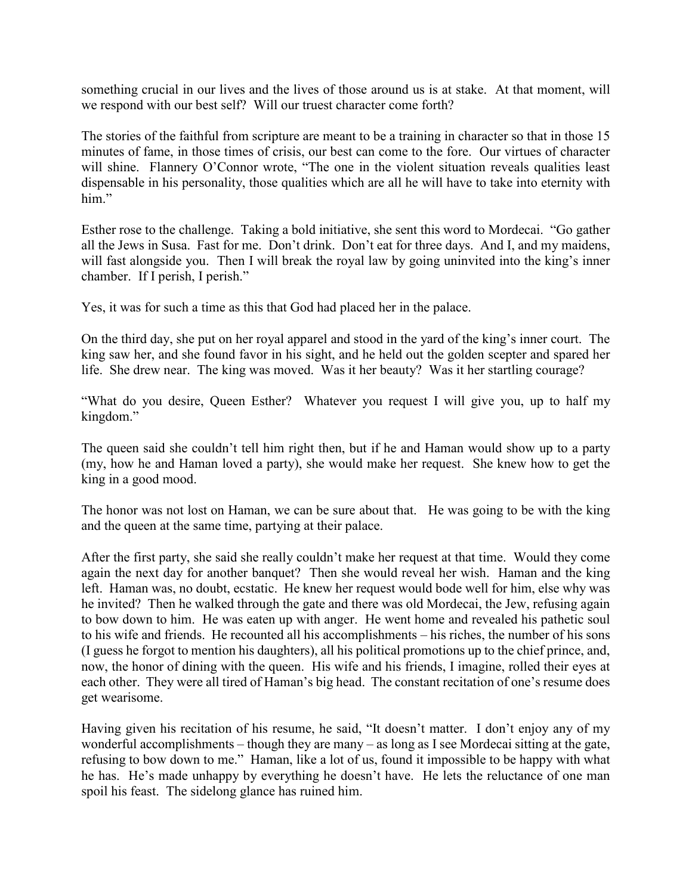something crucial in our lives and the lives of those around us is at stake. At that moment, will we respond with our best self? Will our truest character come forth?

The stories of the faithful from scripture are meant to be a training in character so that in those 15 minutes of fame, in those times of crisis, our best can come to the fore. Our virtues of character will shine. Flannery O'Connor wrote, "The one in the violent situation reveals qualities least dispensable in his personality, those qualities which are all he will have to take into eternity with him."

Esther rose to the challenge. Taking a bold initiative, she sent this word to Mordecai. "Go gather all the Jews in Susa. Fast for me. Don't drink. Don't eat for three days. And I, and my maidens, will fast alongside you. Then I will break the royal law by going uninvited into the king's inner chamber. If I perish, I perish."

Yes, it was for such a time as this that God had placed her in the palace.

On the third day, she put on her royal apparel and stood in the yard of the king's inner court. The king saw her, and she found favor in his sight, and he held out the golden scepter and spared her life. She drew near. The king was moved. Was it her beauty? Was it her startling courage?

"What do you desire, Queen Esther? Whatever you request I will give you, up to half my kingdom."

The queen said she couldn't tell him right then, but if he and Haman would show up to a party (my, how he and Haman loved a party), she would make her request. She knew how to get the king in a good mood.

The honor was not lost on Haman, we can be sure about that. He was going to be with the king and the queen at the same time, partying at their palace.

After the first party, she said she really couldn't make her request at that time. Would they come again the next day for another banquet? Then she would reveal her wish. Haman and the king left. Haman was, no doubt, ecstatic. He knew her request would bode well for him, else why was he invited? Then he walked through the gate and there was old Mordecai, the Jew, refusing again to bow down to him. He was eaten up with anger. He went home and revealed his pathetic soul to his wife and friends. He recounted all his accomplishments – his riches, the number of his sons (I guess he forgot to mention his daughters), all his political promotions up to the chief prince, and, now, the honor of dining with the queen. His wife and his friends, I imagine, rolled their eyes at each other. They were all tired of Haman's big head. The constant recitation of one's resume does get wearisome.

Having given his recitation of his resume, he said, "It doesn't matter. I don't enjoy any of my wonderful accomplishments – though they are many – as long as I see Mordecai sitting at the gate, refusing to bow down to me." Haman, like a lot of us, found it impossible to be happy with what he has. He's made unhappy by everything he doesn't have. He lets the reluctance of one man spoil his feast. The sidelong glance has ruined him.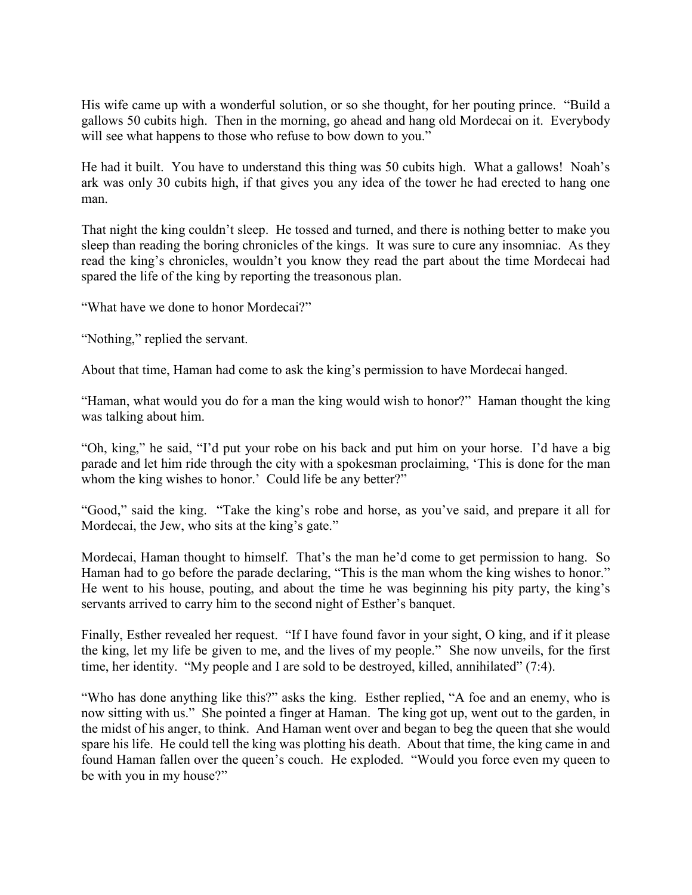His wife came up with a wonderful solution, or so she thought, for her pouting prince. "Build a gallows 50 cubits high. Then in the morning, go ahead and hang old Mordecai on it. Everybody will see what happens to those who refuse to bow down to you."

He had it built. You have to understand this thing was 50 cubits high. What a gallows! Noah's ark was only 30 cubits high, if that gives you any idea of the tower he had erected to hang one man.

That night the king couldn't sleep. He tossed and turned, and there is nothing better to make you sleep than reading the boring chronicles of the kings. It was sure to cure any insomniac. As they read the king's chronicles, wouldn't you know they read the part about the time Mordecai had spared the life of the king by reporting the treasonous plan.

"What have we done to honor Mordecai?"

"Nothing," replied the servant.

About that time, Haman had come to ask the king's permission to have Mordecai hanged.

"Haman, what would you do for a man the king would wish to honor?" Haman thought the king was talking about him.

"Oh, king," he said, "I'd put your robe on his back and put him on your horse. I'd have a big parade and let him ride through the city with a spokesman proclaiming, 'This is done for the man whom the king wishes to honor.' Could life be any better?"

"Good," said the king. "Take the king's robe and horse, as you've said, and prepare it all for Mordecai, the Jew, who sits at the king's gate."

Mordecai, Haman thought to himself. That's the man he'd come to get permission to hang. So Haman had to go before the parade declaring, "This is the man whom the king wishes to honor." He went to his house, pouting, and about the time he was beginning his pity party, the king's servants arrived to carry him to the second night of Esther's banquet.

Finally, Esther revealed her request. "If I have found favor in your sight, O king, and if it please the king, let my life be given to me, and the lives of my people." She now unveils, for the first time, her identity. "My people and I are sold to be destroyed, killed, annihilated" (7:4).

"Who has done anything like this?" asks the king. Esther replied, "A foe and an enemy, who is now sitting with us." She pointed a finger at Haman. The king got up, went out to the garden, in the midst of his anger, to think. And Haman went over and began to beg the queen that she would spare his life. He could tell the king was plotting his death. About that time, the king came in and found Haman fallen over the queen's couch. He exploded. "Would you force even my queen to be with you in my house?"